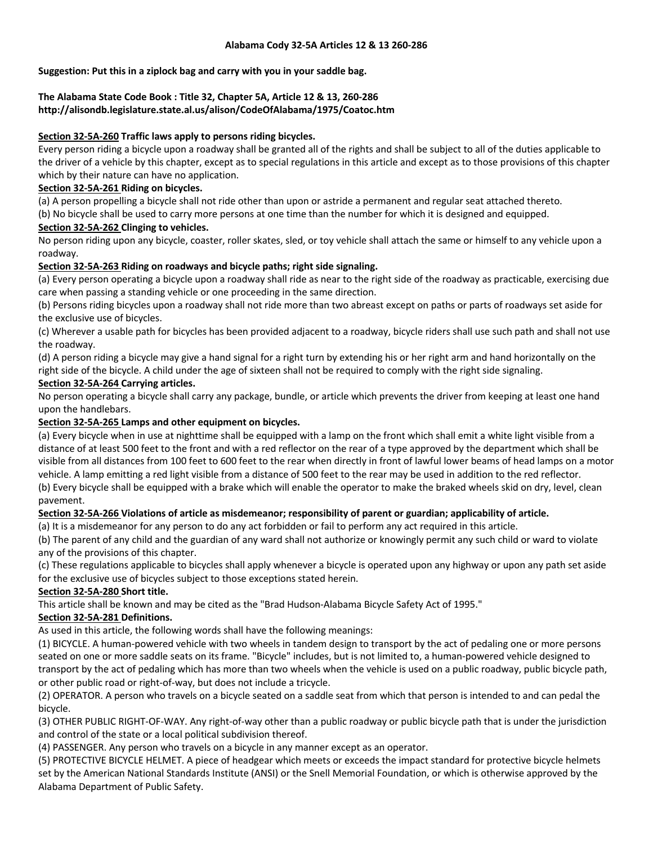## **Suggestion: Put this in a ziplock bag and carry with you in your saddle bag.**

## **The Alabama State Code Book : Title 32, Chapter 5A, Article 12 & 13, 260-286 http://alisondb.legislature.state.al.us/alison/CodeOfAlabama/1975/Coatoc.htm**

## **Section 32-5A-260 Traffic laws apply to persons riding bicycles.**

Every person riding a bicycle upon a roadway shall be granted all of the rights and shall be subject to all of the duties applicable to the driver of a vehicle by this chapter, except as to special regulations in this article and except as to those provisions of this chapter which by their nature can have no application.

### **Section 32-5A-261 Riding on bicycles.**

(a) A person propelling a bicycle shall not ride other than upon or astride a permanent and regular seat attached thereto.

(b) No bicycle shall be used to carry more persons at one time than the number for which it is designed and equipped.

## **Section 32-5A-262 Clinging to vehicles.**

No person riding upon any bicycle, coaster, roller skates, sled, or toy vehicle shall attach the same or himself to any vehicle upon a roadway.

## **Section 32-5A-263 Riding on roadways and bicycle paths; right side signaling.**

(a) Every person operating a bicycle upon a roadway shall ride as near to the right side of the roadway as practicable, exercising due care when passing a standing vehicle or one proceeding in the same direction.

(b) Persons riding bicycles upon a roadway shall not ride more than two abreast except on paths or parts of roadways set aside for the exclusive use of bicycles.

(c) Wherever a usable path for bicycles has been provided adjacent to a roadway, bicycle riders shall use such path and shall not use the roadway.

(d) A person riding a bicycle may give a hand signal for a right turn by extending his or her right arm and hand horizontally on the right side of the bicycle. A child under the age of sixteen shall not be required to comply with the right side signaling.

## **Section 32-5A-264 Carrying articles.**

No person operating a bicycle shall carry any package, bundle, or article which prevents the driver from keeping at least one hand upon the handlebars.

## **Section 32-5A-265 Lamps and other equipment on bicycles.**

(a) Every bicycle when in use at nighttime shall be equipped with a lamp on the front which shall emit a white light visible from a distance of at least 500 feet to the front and with a red reflector on the rear of a type approved by the department which shall be visible from all distances from 100 feet to 600 feet to the rear when directly in front of lawful lower beams of head lamps on a motor vehicle. A lamp emitting a red light visible from a distance of 500 feet to the rear may be used in addition to the red reflector. (b) Every bicycle shall be equipped with a brake which will enable the operator to make the braked wheels skid on dry, level, clean pavement.

#### **Section 32-5A-266 Violations of article as misdemeanor; responsibility of parent or guardian; applicability of article.**

(a) It is a misdemeanor for any person to do any act forbidden or fail to perform any act required in this article.

(b) The parent of any child and the guardian of any ward shall not authorize or knowingly permit any such child or ward to violate any of the provisions of this chapter.

(c) These regulations applicable to bicycles shall apply whenever a bicycle is operated upon any highway or upon any path set aside for the exclusive use of bicycles subject to those exceptions stated herein.

# **Section 32-5A-280 Short title.**

This article shall be known and may be cited as the "Brad Hudson-Alabama Bicycle Safety Act of 1995."

# **Section 32-5A-281 Definitions.**

As used in this article, the following words shall have the following meanings:

(1) BICYCLE. A human-powered vehicle with two wheels in tandem design to transport by the act of pedaling one or more persons seated on one or more saddle seats on its frame. "Bicycle" includes, but is not limited to, a human-powered vehicle designed to transport by the act of pedaling which has more than two wheels when the vehicle is used on a public roadway, public bicycle path, or other public road or right-of-way, but does not include a tricycle.

(2) OPERATOR. A person who travels on a bicycle seated on a saddle seat from which that person is intended to and can pedal the bicycle.

(3) OTHER PUBLIC RIGHT-OF-WAY. Any right-of-way other than a public roadway or public bicycle path that is under the jurisdiction and control of the state or a local political subdivision thereof.

(4) PASSENGER. Any person who travels on a bicycle in any manner except as an operator.

(5) PROTECTIVE BICYCLE HELMET. A piece of headgear which meets or exceeds the impact standard for protective bicycle helmets set by the American National Standards Institute (ANSI) or the Snell Memorial Foundation, or which is otherwise approved by the Alabama Department of Public Safety.